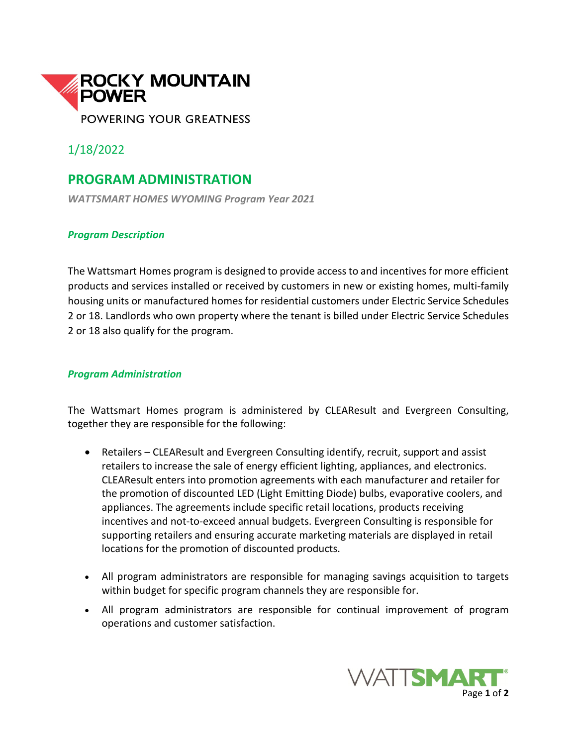

1/18/2022

## **PROGRAM ADMINISTRATION**

*WATTSMART HOMES WYOMING Program Year 2021*

## *Program Description*

The Wattsmart Homes program is designed to provide access to and incentives for more efficient products and services installed or received by customers in new or existing homes, multi-family housing units or manufactured homes for residential customers under Electric Service Schedules 2 or 18. Landlords who own property where the tenant is billed under Electric Service Schedules 2 or 18 also qualify for the program.

## *Program Administration*

The Wattsmart Homes program is administered by CLEAResult and Evergreen Consulting, together they are responsible for the following:

- Retailers CLEAResult and Evergreen Consulting identify, recruit, support and assist retailers to increase the sale of energy efficient lighting, appliances, and electronics. CLEAResult enters into promotion agreements with each manufacturer and retailer for the promotion of discounted LED (Light Emitting Diode) bulbs, evaporative coolers, and appliances. The agreements include specific retail locations, products receiving incentives and not-to-exceed annual budgets. Evergreen Consulting is responsible for supporting retailers and ensuring accurate marketing materials are displayed in retail locations for the promotion of discounted products.
- All program administrators are responsible for managing savings acquisition to targets within budget for specific program channels they are responsible for.
- All program administrators are responsible for continual improvement of program operations and customer satisfaction.